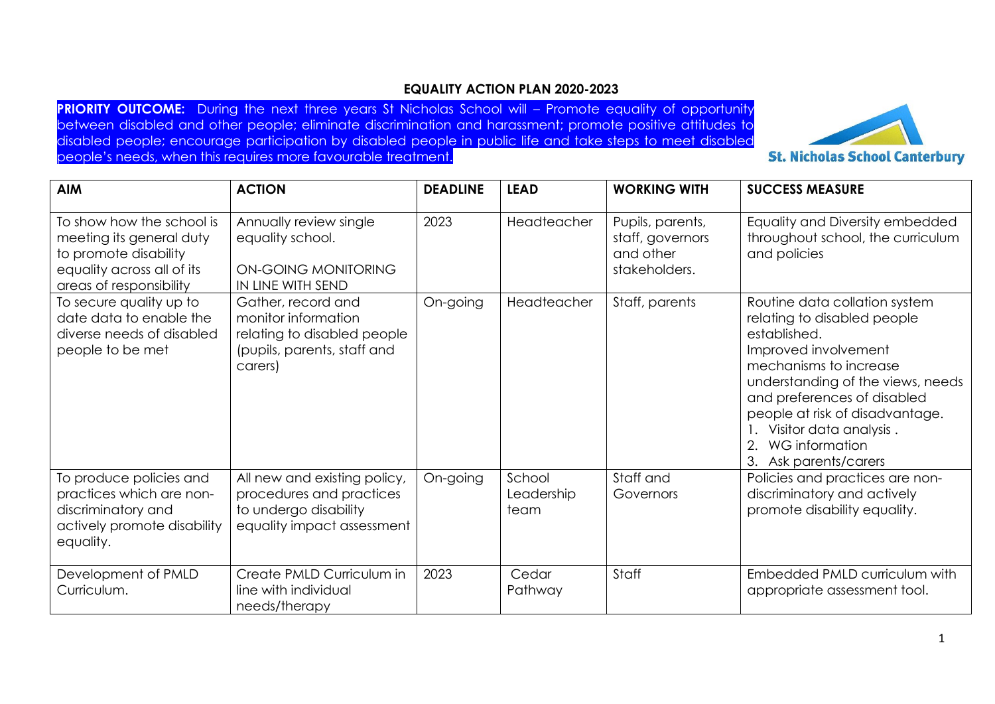## **EQUALITY ACTION PLAN 2020-2023**

**PRIORITY OUTCOME:** During the next three years St Nicholas School will – Promote equality of opportunity between disabled and other people; eliminate discrimination and harassment; promote positive attitudes to disabled people; encourage participation by disabled people in public life and take steps to meet disabled people's needs, when this requires more favourable treatment.



**St. Nicholas School Canterbury** 

| <b>AIM</b>                                                                                                                              | <b>ACTION</b>                                                                                                      | <b>DEADLINE</b> | <b>LEAD</b>                  | <b>WORKING WITH</b>                                                | <b>SUCCESS MEASURE</b>                                                                                                                                                                                                                                                                                     |
|-----------------------------------------------------------------------------------------------------------------------------------------|--------------------------------------------------------------------------------------------------------------------|-----------------|------------------------------|--------------------------------------------------------------------|------------------------------------------------------------------------------------------------------------------------------------------------------------------------------------------------------------------------------------------------------------------------------------------------------------|
| To show how the school is<br>meeting its general duty<br>to promote disability<br>equality across all of its<br>areas of responsibility | Annually review single<br>equality school.<br>ON-GOING MONITORING<br>IN LINE WITH SEND                             | 2023            | Headteacher                  | Pupils, parents,<br>staff, governors<br>and other<br>stakeholders. | Equality and Diversity embedded<br>throughout school, the curriculum<br>and policies                                                                                                                                                                                                                       |
| To secure quality up to<br>date data to enable the<br>diverse needs of disabled<br>people to be met                                     | Gather, record and<br>monitor information<br>relating to disabled people<br>(pupils, parents, staff and<br>carers) | On-going        | Headteacher                  | Staff, parents                                                     | Routine data collation system<br>relating to disabled people<br>established.<br>Improved involvement<br>mechanisms to increase<br>understanding of the views, needs<br>and preferences of disabled<br>people at risk of disadvantage.<br>Visitor data analysis.<br>WG information<br>3. Ask parents/carers |
| To produce policies and<br>practices which are non-<br>discriminatory and<br>actively promote disability<br>equality.                   | All new and existing policy,<br>procedures and practices<br>to undergo disability<br>equality impact assessment    | On-going        | School<br>Leadership<br>team | Staff and<br>Governors                                             | Policies and practices are non-<br>discriminatory and actively<br>promote disability equality.                                                                                                                                                                                                             |
| Development of PMLD<br>Curriculum.                                                                                                      | Create PMLD Curriculum in<br>line with individual<br>needs/therapy                                                 | 2023            | Cedar<br>Pathway             | Staff                                                              | Embedded PMLD curriculum with<br>appropriate assessment tool.                                                                                                                                                                                                                                              |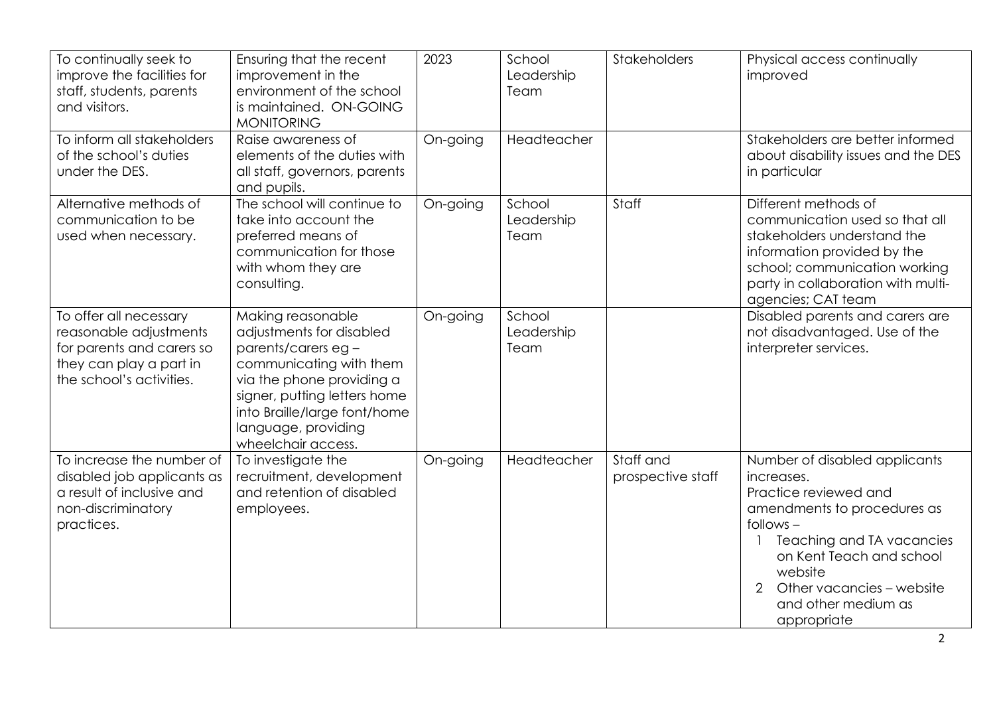| To continually seek to<br>improve the facilities for<br>staff, students, parents<br>and visitors.                                    | Ensuring that the recent<br>improvement in the<br>environment of the school<br>is maintained. ON-GOING<br><b>MONITORING</b>                                                                                                              | 2023     | School<br>Leadership<br>Team | Stakeholders                   | Physical access continually<br>improved                                                                                                                                                                                                                        |
|--------------------------------------------------------------------------------------------------------------------------------------|------------------------------------------------------------------------------------------------------------------------------------------------------------------------------------------------------------------------------------------|----------|------------------------------|--------------------------------|----------------------------------------------------------------------------------------------------------------------------------------------------------------------------------------------------------------------------------------------------------------|
| To inform all stakeholders<br>of the school's duties<br>under the DES.                                                               | Raise awareness of<br>elements of the duties with<br>all staff, governors, parents<br>and pupils.                                                                                                                                        | On-going | Headteacher                  |                                | Stakeholders are better informed<br>about disability issues and the DES<br>in particular                                                                                                                                                                       |
| Alternative methods of<br>communication to be<br>used when necessary.                                                                | The school will continue to<br>take into account the<br>preferred means of<br>communication for those<br>with whom they are<br>consulting.                                                                                               | On-going | School<br>Leadership<br>Team | Staff                          | Different methods of<br>communication used so that all<br>stakeholders understand the<br>information provided by the<br>school; communication working<br>party in collaboration with multi-<br>agencies; CAT team                                              |
| To offer all necessary<br>reasonable adjustments<br>for parents and carers so<br>they can play a part in<br>the school's activities. | Making reasonable<br>adjustments for disabled<br>parents/carers eg-<br>communicating with them<br>via the phone providing a<br>signer, putting letters home<br>into Braille/large font/home<br>language, providing<br>wheelchair access. | On-going | School<br>Leadership<br>Team |                                | Disabled parents and carers are<br>not disadvantaged. Use of the<br>interpreter services.                                                                                                                                                                      |
| To increase the number of<br>disabled job applicants as<br>a result of inclusive and<br>non-discriminatory<br>practices.             | To investigate the<br>recruitment, development<br>and retention of disabled<br>employees.                                                                                                                                                | On-going | Headteacher                  | Staff and<br>prospective staff | Number of disabled applicants<br>increases.<br>Practice reviewed and<br>amendments to procedures as<br>$follows -$<br>Teaching and TA vacancies<br>on Kent Teach and school<br>website<br>Other vacancies - website<br>2<br>and other medium as<br>appropriate |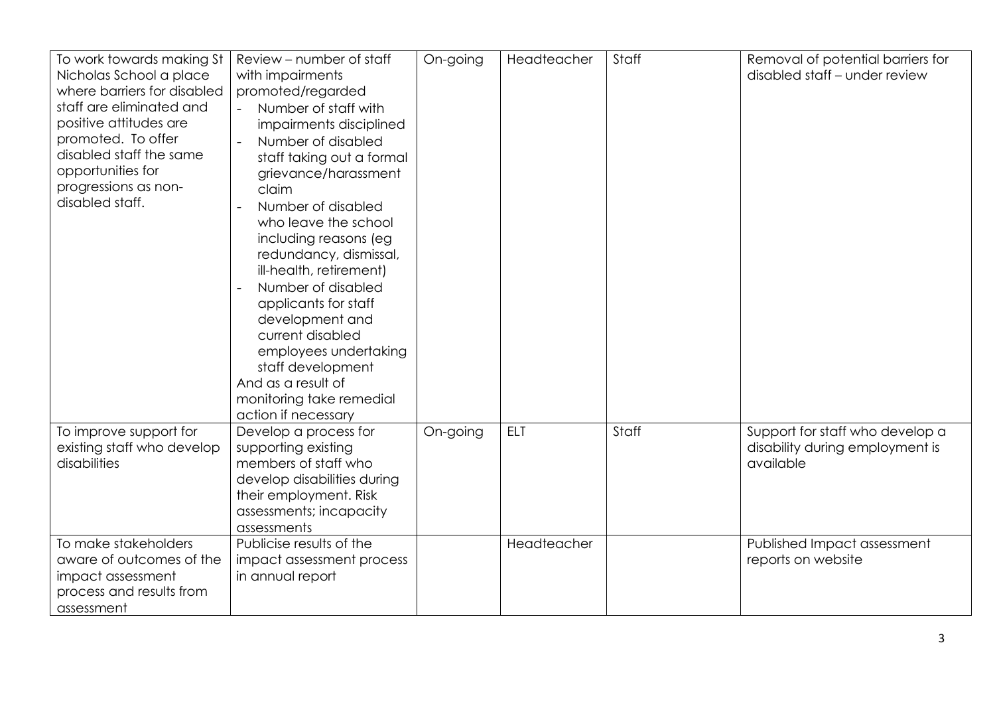| To work towards making St   | Review – number of staff    | On-going | Headteacher | Staff | Removal of potential barriers for |
|-----------------------------|-----------------------------|----------|-------------|-------|-----------------------------------|
| Nicholas School a place     | with impairments            |          |             |       | disabled staff - under review     |
| where barriers for disabled |                             |          |             |       |                                   |
|                             | promoted/regarded           |          |             |       |                                   |
| staff are eliminated and    | Number of staff with        |          |             |       |                                   |
| positive attitudes are      | impairments disciplined     |          |             |       |                                   |
| promoted. To offer          | Number of disabled          |          |             |       |                                   |
| disabled staff the same     | staff taking out a formal   |          |             |       |                                   |
| opportunities for           | grievance/harassment        |          |             |       |                                   |
| progressions as non-        | claim                       |          |             |       |                                   |
| disabled staff.             | Number of disabled          |          |             |       |                                   |
|                             | who leave the school        |          |             |       |                                   |
|                             | including reasons (eg       |          |             |       |                                   |
|                             | redundancy, dismissal,      |          |             |       |                                   |
|                             | ill-health, retirement)     |          |             |       |                                   |
|                             | Number of disabled          |          |             |       |                                   |
|                             |                             |          |             |       |                                   |
|                             | applicants for staff        |          |             |       |                                   |
|                             | development and             |          |             |       |                                   |
|                             | current disabled            |          |             |       |                                   |
|                             | employees undertaking       |          |             |       |                                   |
|                             | staff development           |          |             |       |                                   |
|                             | And as a result of          |          |             |       |                                   |
|                             | monitoring take remedial    |          |             |       |                                   |
|                             | action if necessary         |          |             |       |                                   |
| To improve support for      | Develop a process for       | On-going | <b>ELT</b>  | Staff | Support for staff who develop a   |
| existing staff who develop  | supporting existing         |          |             |       | disability during employment is   |
| disabilities                | members of staff who        |          |             |       | available                         |
|                             | develop disabilities during |          |             |       |                                   |
|                             | their employment. Risk      |          |             |       |                                   |
|                             | assessments; incapacity     |          |             |       |                                   |
|                             | assessments                 |          |             |       |                                   |
| To make stakeholders        | Publicise results of the    |          | Headteacher |       | Published Impact assessment       |
| aware of outcomes of the    | impact assessment process   |          |             |       | reports on website                |
| impact assessment           | in annual report            |          |             |       |                                   |
| process and results from    |                             |          |             |       |                                   |
| assessment                  |                             |          |             |       |                                   |